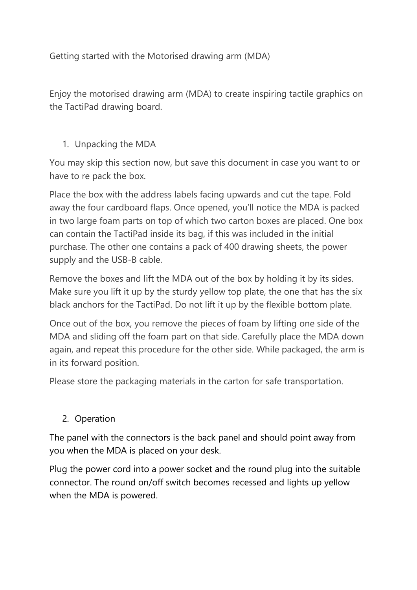Getting started with the Motorised drawing arm (MDA)

Enjoy the motorised drawing arm (MDA) to create inspiring tactile graphics on the TactiPad drawing board.

### 1. Unpacking the MDA

You may skip this section now, but save this document in case you want to or have to re pack the box.

Place the box with the address labels facing upwards and cut the tape. Fold away the four cardboard flaps. Once opened, you'll notice the MDA is packed in two large foam parts on top of which two carton boxes are placed. One box can contain the TactiPad inside its bag, if this was included in the initial purchase. The other one contains a pack of 400 drawing sheets, the power supply and the USB-B cable.

Remove the boxes and lift the MDA out of the box by holding it by its sides. Make sure you lift it up by the sturdy yellow top plate, the one that has the six black anchors for the TactiPad. Do not lift it up by the flexible bottom plate.

Once out of the box, you remove the pieces of foam by lifting one side of the MDA and sliding off the foam part on that side. Carefully place the MDA down again, and repeat this procedure for the other side. While packaged, the arm is in its forward position.

Please store the packaging materials in the carton for safe transportation.

#### 2. Operation

The panel with the connectors is the back panel and should point away from you when the MDA is placed on your desk.

Plug the power cord into a power socket and the round plug into the suitable connector. The round on/off switch becomes recessed and lights up yellow when the MDA is powered.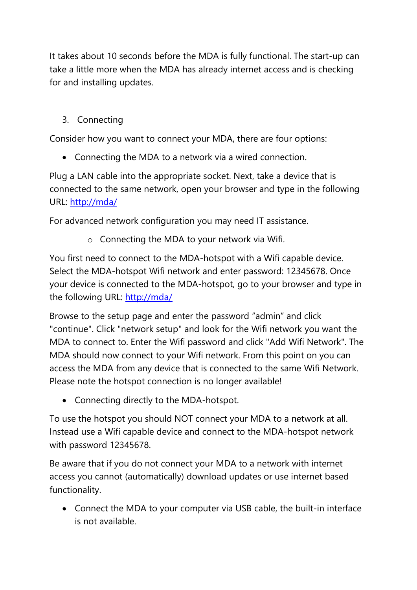It takes about 10 seconds before the MDA is fully functional. The start-up can take a little more when the MDA has already internet access and is checking for and installing updates.

# 3. Connecting

Consider how you want to connect your MDA, there are four options:

Connecting the MDA to a network via a wired connection.

Plug a LAN cable into the appropriate socket. Next, take a device that is connected to the same network, open your browser and type in the following URL:<http://mda/>

For advanced network configuration you may need IT assistance.

o Connecting the MDA to your network via Wifi.

You first need to connect to the MDA-hotspot with a Wifi capable device. Select the MDA-hotspot Wifi network and enter password: 12345678. Once your device is connected to the MDA-hotspot, go to your browser and type in the following URL:<http://mda/>

Browse to the setup page and enter the password "admin" and click "continue". Click "network setup" and look for the Wifi network you want the MDA to connect to. Enter the Wifi password and click "Add Wifi Network". The MDA should now connect to your Wifi network. From this point on you can access the MDA from any device that is connected to the same Wifi Network. Please note the hotspot connection is no longer available!

Connecting directly to the MDA-hotspot.

To use the hotspot you should NOT connect your MDA to a network at all. Instead use a Wifi capable device and connect to the MDA-hotspot network with password 12345678.

Be aware that if you do not connect your MDA to a network with internet access you cannot (automatically) download updates or use internet based functionality.

 Connect the MDA to your computer via USB cable, the built-in interface is not available.